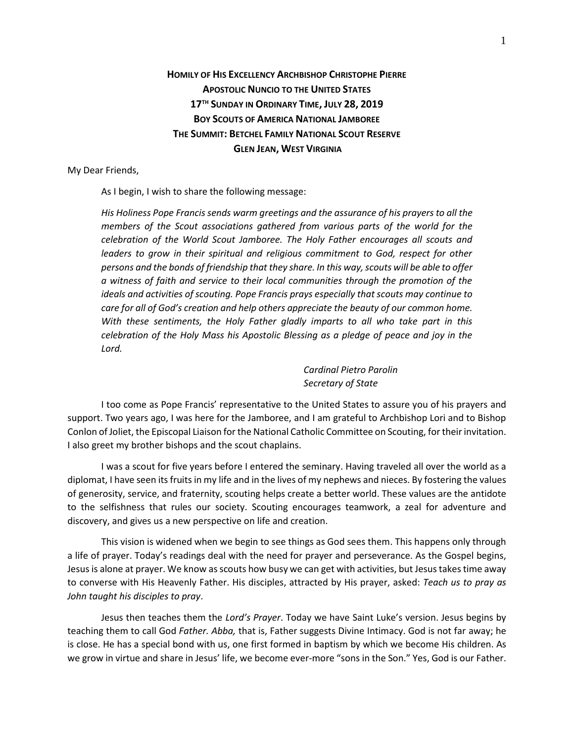## **HOMILY OF HIS EXCELLENCY ARCHBISHOP CHRISTOPHE PIERRE APOSTOLIC NUNCIO TO THE UNITED STATES 17 TH SUNDAY IN ORDINARY TIME, JULY 28, 2019 BOY SCOUTS OF AMERICA NATIONAL JAMBOREE THE SUMMIT: BETCHEL FAMILY NATIONAL SCOUT RESERVE GLEN JEAN, WEST VIRGINIA**

## My Dear Friends,

As I begin, I wish to share the following message:

*His Holiness Pope Francis sends warm greetings and the assurance of his prayers to all the members of the Scout associations gathered from various parts of the world for the celebration of the World Scout Jamboree. The Holy Father encourages all scouts and leaders to grow in their spiritual and religious commitment to God, respect for other persons and the bonds of friendship that they share. In this way, scouts will be able to offer a witness of faith and service to their local communities through the promotion of the ideals and activities of scouting. Pope Francis prays especially that scouts may continue to care for all of God's creation and help others appreciate the beauty of our common home. With these sentiments, the Holy Father gladly imparts to all who take part in this celebration of the Holy Mass his Apostolic Blessing as a pledge of peace and joy in the Lord.*

> *Cardinal Pietro Parolin Secretary of State*

I too come as Pope Francis' representative to the United States to assure you of his prayers and support. Two years ago, I was here for the Jamboree, and I am grateful to Archbishop Lori and to Bishop Conlon of Joliet, the Episcopal Liaison for the National Catholic Committee on Scouting, for their invitation. I also greet my brother bishops and the scout chaplains.

I was a scout for five years before I entered the seminary. Having traveled all over the world as a diplomat, I have seen its fruits in my life and in the lives of my nephews and nieces. By fostering the values of generosity, service, and fraternity, scouting helps create a better world. These values are the antidote to the selfishness that rules our society. Scouting encourages teamwork, a zeal for adventure and discovery, and gives us a new perspective on life and creation.

This vision is widened when we begin to see things as God sees them. This happens only through a life of prayer. Today's readings deal with the need for prayer and perseverance. As the Gospel begins, Jesus is alone at prayer. We know as scouts how busy we can get with activities, but Jesus takes time away to converse with His Heavenly Father. His disciples, attracted by His prayer, asked: *Teach us to pray as John taught his disciples to pray*.

Jesus then teaches them the *Lord's Prayer*. Today we have Saint Luke's version. Jesus begins by teaching them to call God *Father. Abba,* that is, Father suggests Divine Intimacy. God is not far away; he is close. He has a special bond with us, one first formed in baptism by which we become His children. As we grow in virtue and share in Jesus' life, we become ever-more "sons in the Son." Yes, God is our Father.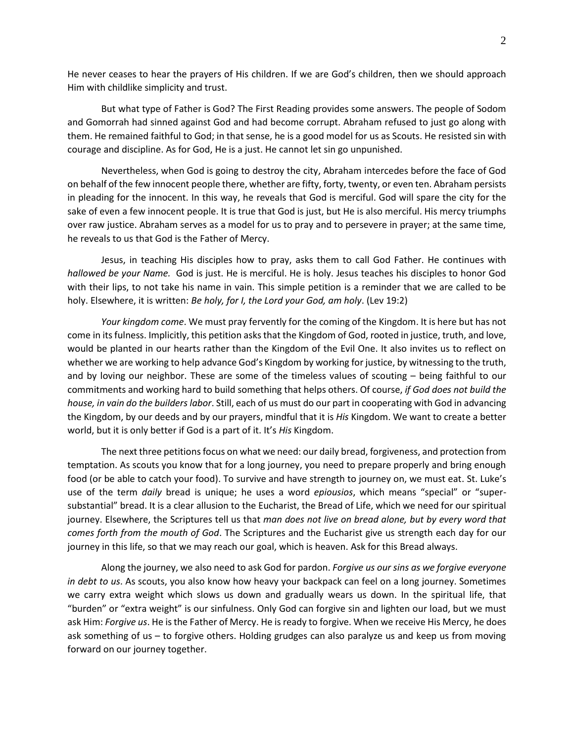He never ceases to hear the prayers of His children. If we are God's children, then we should approach Him with childlike simplicity and trust.

But what type of Father is God? The First Reading provides some answers. The people of Sodom and Gomorrah had sinned against God and had become corrupt. Abraham refused to just go along with them. He remained faithful to God; in that sense, he is a good model for us as Scouts. He resisted sin with courage and discipline. As for God, He is a just. He cannot let sin go unpunished.

Nevertheless, when God is going to destroy the city, Abraham intercedes before the face of God on behalf of the few innocent people there, whether are fifty, forty, twenty, or even ten. Abraham persists in pleading for the innocent. In this way, he reveals that God is merciful. God will spare the city for the sake of even a few innocent people. It is true that God is just, but He is also merciful. His mercy triumphs over raw justice. Abraham serves as a model for us to pray and to persevere in prayer; at the same time, he reveals to us that God is the Father of Mercy.

Jesus, in teaching His disciples how to pray, asks them to call God Father. He continues with *hallowed be your Name.* God is just. He is merciful. He is holy. Jesus teaches his disciples to honor God with their lips, to not take his name in vain. This simple petition is a reminder that we are called to be holy. Elsewhere, it is written: *Be holy, for I, the Lord your God, am holy*. (Lev 19:2)

*Your kingdom come*. We must pray fervently for the coming of the Kingdom. It is here but has not come in its fulness. Implicitly, this petition asksthat the Kingdom of God, rooted in justice, truth, and love, would be planted in our hearts rather than the Kingdom of the Evil One. It also invites us to reflect on whether we are working to help advance God's Kingdom by working for justice, by witnessing to the truth, and by loving our neighbor. These are some of the timeless values of scouting – being faithful to our commitments and working hard to build something that helps others. Of course, *if God does not build the house, in vain do the builders labor*. Still, each of us must do our part in cooperating with God in advancing the Kingdom, by our deeds and by our prayers, mindful that it is *His* Kingdom. We want to create a better world, but it is only better if God is a part of it. It's *His* Kingdom.

The next three petitions focus on what we need: our daily bread, forgiveness, and protection from temptation. As scouts you know that for a long journey, you need to prepare properly and bring enough food (or be able to catch your food). To survive and have strength to journey on, we must eat. St. Luke's use of the term *daily* bread is unique; he uses a word *epiousios*, which means "special" or "supersubstantial" bread. It is a clear allusion to the Eucharist, the Bread of Life, which we need for our spiritual journey. Elsewhere, the Scriptures tell us that *man does not live on bread alone, but by every word that comes forth from the mouth of God*. The Scriptures and the Eucharist give us strength each day for our journey in this life, so that we may reach our goal, which is heaven. Ask for this Bread always.

Along the journey, we also need to ask God for pardon. *Forgive us our sins as we forgive everyone in debt to us*. As scouts, you also know how heavy your backpack can feel on a long journey. Sometimes we carry extra weight which slows us down and gradually wears us down. In the spiritual life, that "burden" or "extra weight" is our sinfulness. Only God can forgive sin and lighten our load, but we must ask Him: *Forgive us*. He is the Father of Mercy. He is ready to forgive. When we receive His Mercy, he does ask something of us – to forgive others. Holding grudges can also paralyze us and keep us from moving forward on our journey together.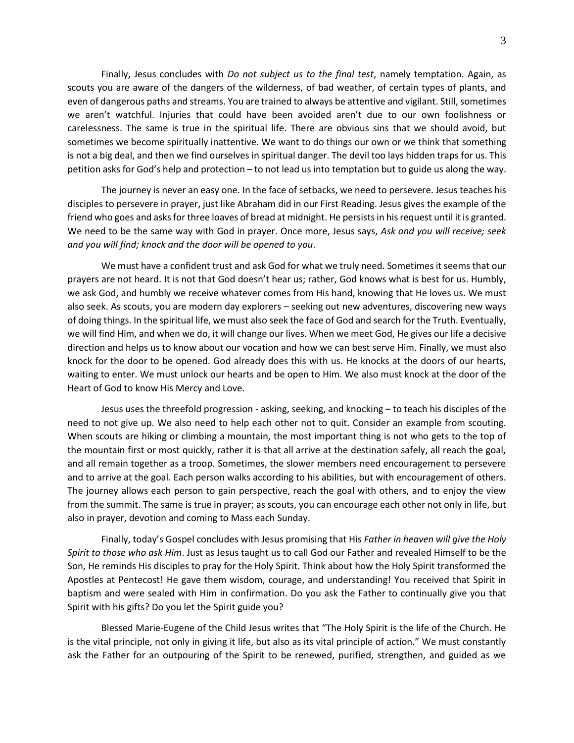Finally, Jesus concludes with *Do not subject us to the final test*, namely temptation. Again, as scouts you are aware of the dangers of the wilderness, of bad weather, of certain types of plants, and even of dangerous paths and streams. You are trained to always be attentive and vigilant. Still, sometimes we aren't watchful. Injuries that could have been avoided aren't due to our own foolishness or carelessness. The same is true in the spiritual life. There are obvious sins that we should avoid, but sometimes we become spiritually inattentive. We want to do things our own or we think that something is not a big deal, and then we find ourselves in spiritual danger. The devil too lays hidden traps for us. This petition asks for God's help and protection – to not lead us into temptation but to guide us along the way.

The journey is never an easy one. In the face of setbacks, we need to persevere. Jesus teaches his disciples to persevere in prayer, just like Abraham did in our First Reading. Jesus gives the example of the friend who goes and asks for three loaves of bread at midnight. He persists in his request until it is granted. We need to be the same way with God in prayer. Once more, Jesus says, *Ask and you will receive; seek and you will find; knock and the door will be opened to you*.

We must have a confident trust and ask God for what we truly need. Sometimes it seems that our prayers are not heard. It is not that God doesn't hear us; rather, God knows what is best for us. Humbly, we ask God, and humbly we receive whatever comes from His hand, knowing that He loves us. We must also seek. As scouts, you are modern day explorers – seeking out new adventures, discovering new ways of doing things. In the spiritual life, we must also seek the face of God and search for the Truth. Eventually, we will find Him, and when we do, it will change our lives. When we meet God, He gives our life a decisive direction and helps us to know about our vocation and how we can best serve Him. Finally, we must also knock for the door to be opened. God already does this with us. He knocks at the doors of our hearts, waiting to enter. We must unlock our hearts and be open to Him. We also must knock at the door of the Heart of God to know His Mercy and Love.

Jesus uses the threefold progression - asking, seeking, and knocking – to teach his disciples of the need to not give up. We also need to help each other not to quit. Consider an example from scouting. When scouts are hiking or climbing a mountain, the most important thing is not who gets to the top of the mountain first or most quickly, rather it is that all arrive at the destination safely, all reach the goal, and all remain together as a troop. Sometimes, the slower members need encouragement to persevere and to arrive at the goal. Each person walks according to his abilities, but with encouragement of others. The journey allows each person to gain perspective, reach the goal with others, and to enjoy the view from the summit. The same is true in prayer; as scouts, you can encourage each other not only in life, but also in prayer, devotion and coming to Mass each Sunday.

Finally, today's Gospel concludes with Jesus promising that His *Father in heaven will give the Holy Spirit to those who ask Him*. Just as Jesus taught us to call God our Father and revealed Himself to be the Son, He reminds His disciples to pray for the Holy Spirit. Think about how the Holy Spirit transformed the Apostles at Pentecost! He gave them wisdom, courage, and understanding! You received that Spirit in baptism and were sealed with Him in confirmation. Do you ask the Father to continually give you that Spirit with his gifts? Do you let the Spirit guide you?

Blessed Marie-Eugene of the Child Jesus writes that "The Holy Spirit is the life of the Church. He is the vital principle, not only in giving it life, but also as its vital principle of action." We must constantly ask the Father for an outpouring of the Spirit to be renewed, purified, strengthen, and guided as we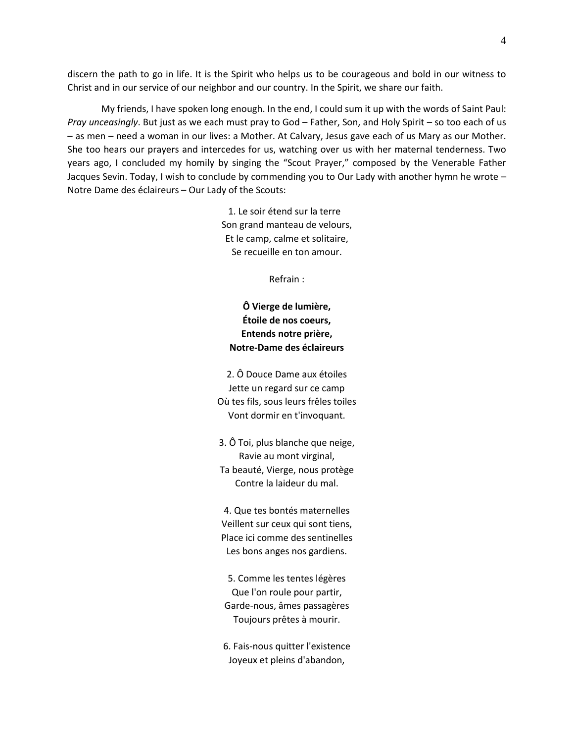discern the path to go in life. It is the Spirit who helps us to be courageous and bold in our witness to Christ and in our service of our neighbor and our country. In the Spirit, we share our faith.

My friends, I have spoken long enough. In the end, I could sum it up with the words of Saint Paul: *Pray unceasingly*. But just as we each must pray to God – Father, Son, and Holy Spirit – so too each of us – as men – need a woman in our lives: a Mother. At Calvary, Jesus gave each of us Mary as our Mother. She too hears our prayers and intercedes for us, watching over us with her maternal tenderness. Two years ago, I concluded my homily by singing the "Scout Prayer," composed by the Venerable Father Jacques Sevin. Today, I wish to conclude by commending you to Our Lady with another hymn he wrote – Notre Dame des éclaireurs – Our Lady of the Scouts:

> 1. Le soir étend sur la terre Son grand manteau de velours, Et le camp, calme et solitaire, Se recueille en ton amour.

> > Refrain :

## **Ô Vierge de lumière, Étoile de nos coeurs, Entends notre prière, Notre-Dame des éclaireurs**

2. Ô Douce Dame aux étoiles Jette un regard sur ce camp Où tes fils, sous leurs frêles toiles Vont dormir en t'invoquant.

3. Ô Toi, plus blanche que neige, Ravie au mont virginal, Ta beauté, Vierge, nous protège Contre la laideur du mal.

4. Que tes bontés maternelles Veillent sur ceux qui sont tiens, Place ici comme des sentinelles Les bons anges nos gardiens.

5. Comme les tentes légères Que l'on roule pour partir, Garde-nous, âmes passagères Toujours prêtes à mourir.

6. Fais-nous quitter l'existence Joyeux et pleins d'abandon,